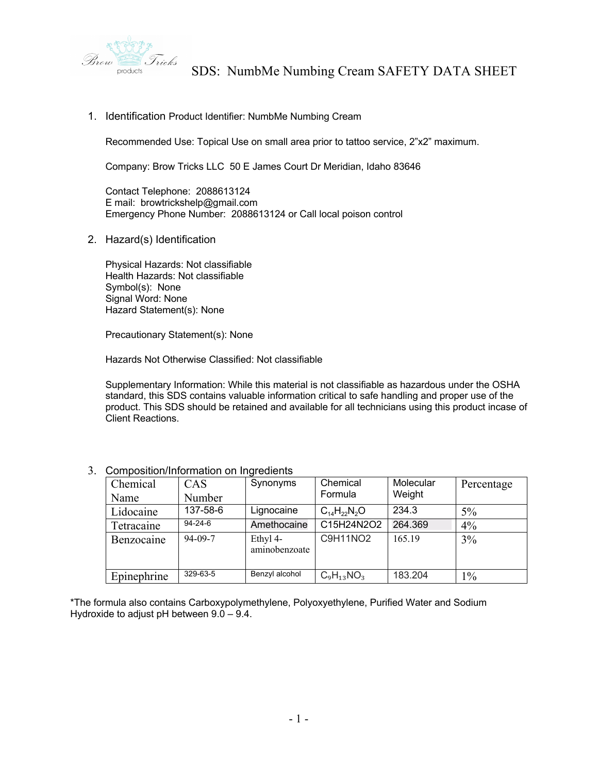

1. Identification Product Identifier: NumbMe Numbing Cream

Recommended Use: Topical Use on small area prior to tattoo service, 2"x2" maximum.

Company: Brow Tricks LLC 50 E James Court Dr Meridian, Idaho 83646

Contact Telephone: 2088613124 E mail: browtrickshelp@gmail.com Emergency Phone Number: 2088613124 or Call local poison control

2. Hazard(s) Identification

Physical Hazards: Not classifiable Health Hazards: Not classifiable Symbol(s): None Signal Word: None Hazard Statement(s): None

Precautionary Statement(s): None

Hazards Not Otherwise Classified: Not classifiable

Supplementary Information: While this material is not classifiable as hazardous under the OSHA standard, this SDS contains valuable information critical to safe handling and proper use of the product. This SDS should be retained and available for all technicians using this product incase of Client Reactions.

| Chemical    | CAS           | Synonyms                  | Chemical             | Molecular | Percentage |
|-------------|---------------|---------------------------|----------------------|-----------|------------|
| Name        | Number        |                           | Formula              | Weight    |            |
| Lidocaine   | 137-58-6      | Lignocaine                | $C_{14}H_{22}N_{2}O$ | 234.3     | $5\%$      |
| Tetracaine  | $94 - 24 - 6$ | Amethocaine               | C15H24N2O2           | 264.369   | $4\%$      |
| Benzocaine  | $94-09-7$     | Ethyl 4-<br>aminobenzoate | C9H11NO2             | 165.19    | 3%         |
| Epinephrine | 329-63-5      | Benzyl alcohol            | $C_9H_{13}NO_3$      | 183.204   | $1\%$      |

3. Composition/Information on Ingredients

\*The formula also contains Carboxypolymethylene, Polyoxyethylene, Purified Water and Sodium Hydroxide to adjust pH between  $9.0 - 9.4$ .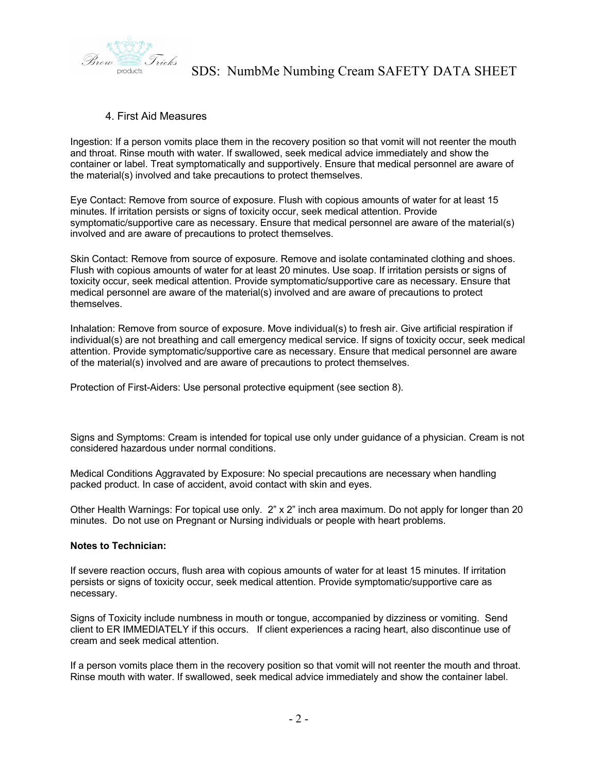

## 4. First Aid Measures

Ingestion: If a person vomits place them in the recovery position so that vomit will not reenter the mouth and throat. Rinse mouth with water. If swallowed, seek medical advice immediately and show the container or label. Treat symptomatically and supportively. Ensure that medical personnel are aware of the material(s) involved and take precautions to protect themselves.

Eye Contact: Remove from source of exposure. Flush with copious amounts of water for at least 15 minutes. If irritation persists or signs of toxicity occur, seek medical attention. Provide symptomatic/supportive care as necessary. Ensure that medical personnel are aware of the material(s) involved and are aware of precautions to protect themselves.

Skin Contact: Remove from source of exposure. Remove and isolate contaminated clothing and shoes. Flush with copious amounts of water for at least 20 minutes. Use soap. If irritation persists or signs of toxicity occur, seek medical attention. Provide symptomatic/supportive care as necessary. Ensure that medical personnel are aware of the material(s) involved and are aware of precautions to protect themselves.

Inhalation: Remove from source of exposure. Move individual(s) to fresh air. Give artificial respiration if individual(s) are not breathing and call emergency medical service. If signs of toxicity occur, seek medical attention. Provide symptomatic/supportive care as necessary. Ensure that medical personnel are aware of the material(s) involved and are aware of precautions to protect themselves.

Protection of First-Aiders: Use personal protective equipment (see section 8).

Signs and Symptoms: Cream is intended for topical use only under guidance of a physician. Cream is not considered hazardous under normal conditions.

Medical Conditions Aggravated by Exposure: No special precautions are necessary when handling packed product. In case of accident, avoid contact with skin and eyes.

Other Health Warnings: For topical use only. 2" x 2" inch area maximum. Do not apply for longer than 20 minutes. Do not use on Pregnant or Nursing individuals or people with heart problems.

### **Notes to Technician:**

If severe reaction occurs, flush area with copious amounts of water for at least 15 minutes. If irritation persists or signs of toxicity occur, seek medical attention. Provide symptomatic/supportive care as necessary.

Signs of Toxicity include numbness in mouth or tongue, accompanied by dizziness or vomiting. Send client to ER IMMEDIATELY if this occurs. If client experiences a racing heart, also discontinue use of cream and seek medical attention.

If a person vomits place them in the recovery position so that vomit will not reenter the mouth and throat. Rinse mouth with water. If swallowed, seek medical advice immediately and show the container label.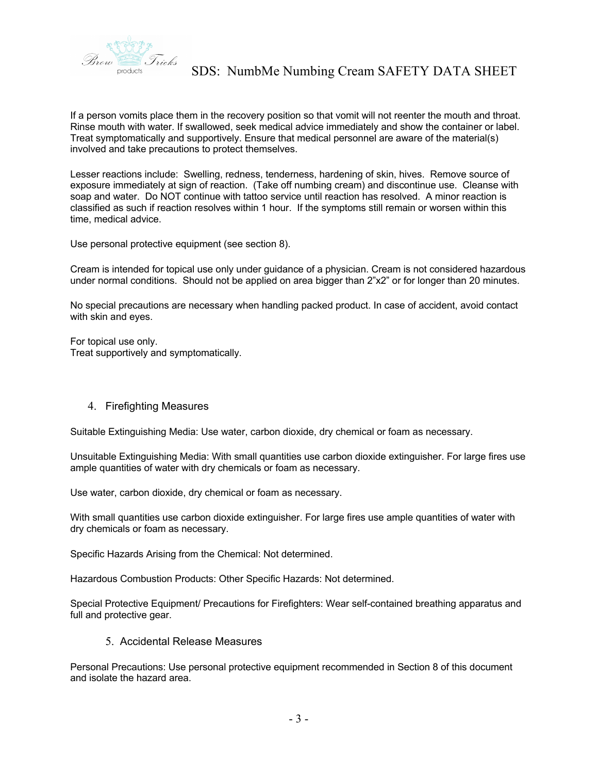

If a person vomits place them in the recovery position so that vomit will not reenter the mouth and throat. Rinse mouth with water. If swallowed, seek medical advice immediately and show the container or label. Treat symptomatically and supportively. Ensure that medical personnel are aware of the material(s) involved and take precautions to protect themselves.

Lesser reactions include: Swelling, redness, tenderness, hardening of skin, hives. Remove source of exposure immediately at sign of reaction. (Take off numbing cream) and discontinue use. Cleanse with soap and water. Do NOT continue with tattoo service until reaction has resolved. A minor reaction is classified as such if reaction resolves within 1 hour. If the symptoms still remain or worsen within this time, medical advice.

Use personal protective equipment (see section 8).

Cream is intended for topical use only under guidance of a physician. Cream is not considered hazardous under normal conditions. Should not be applied on area bigger than 2"x2" or for longer than 20 minutes.

No special precautions are necessary when handling packed product. In case of accident, avoid contact with skin and eyes.

For topical use only. Treat supportively and symptomatically.

### 4. Firefighting Measures

Suitable Extinguishing Media: Use water, carbon dioxide, dry chemical or foam as necessary.

Unsuitable Extinguishing Media: With small quantities use carbon dioxide extinguisher. For large fires use ample quantities of water with dry chemicals or foam as necessary.

Use water, carbon dioxide, dry chemical or foam as necessary.

With small quantities use carbon dioxide extinguisher. For large fires use ample quantities of water with dry chemicals or foam as necessary.

Specific Hazards Arising from the Chemical: Not determined.

Hazardous Combustion Products: Other Specific Hazards: Not determined.

Special Protective Equipment/ Precautions for Firefighters: Wear self-contained breathing apparatus and full and protective gear.

5. Accidental Release Measures

Personal Precautions: Use personal protective equipment recommended in Section 8 of this document and isolate the hazard area.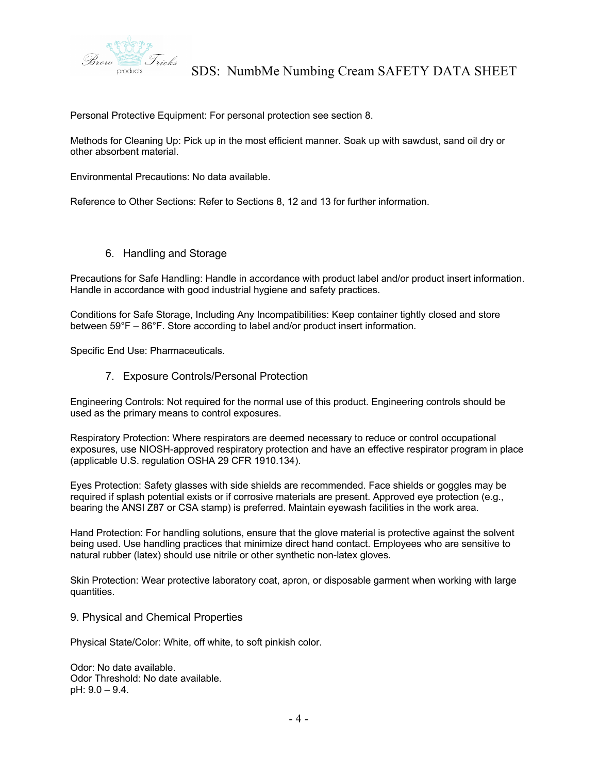

Personal Protective Equipment: For personal protection see section 8.

Methods for Cleaning Up: Pick up in the most efficient manner. Soak up with sawdust, sand oil dry or other absorbent material.

Environmental Precautions: No data available.

Reference to Other Sections: Refer to Sections 8, 12 and 13 for further information.

6. Handling and Storage

Precautions for Safe Handling: Handle in accordance with product label and/or product insert information. Handle in accordance with good industrial hygiene and safety practices.

Conditions for Safe Storage, Including Any Incompatibilities: Keep container tightly closed and store between 59°F – 86°F. Store according to label and/or product insert information.

Specific End Use: Pharmaceuticals.

7. Exposure Controls/Personal Protection

Engineering Controls: Not required for the normal use of this product. Engineering controls should be used as the primary means to control exposures.

Respiratory Protection: Where respirators are deemed necessary to reduce or control occupational exposures, use NIOSH-approved respiratory protection and have an effective respirator program in place (applicable U.S. regulation OSHA 29 CFR 1910.134).

Eyes Protection: Safety glasses with side shields are recommended. Face shields or goggles may be required if splash potential exists or if corrosive materials are present. Approved eye protection (e.g., bearing the ANSI Z87 or CSA stamp) is preferred. Maintain eyewash facilities in the work area.

Hand Protection: For handling solutions, ensure that the glove material is protective against the solvent being used. Use handling practices that minimize direct hand contact. Employees who are sensitive to natural rubber (latex) should use nitrile or other synthetic non-latex gloves.

Skin Protection: Wear protective laboratory coat, apron, or disposable garment when working with large quantities.

9. Physical and Chemical Properties

Physical State/Color: White, off white, to soft pinkish color.

Odor: No date available. Odor Threshold: No date available. pH: 9.0 – 9.4.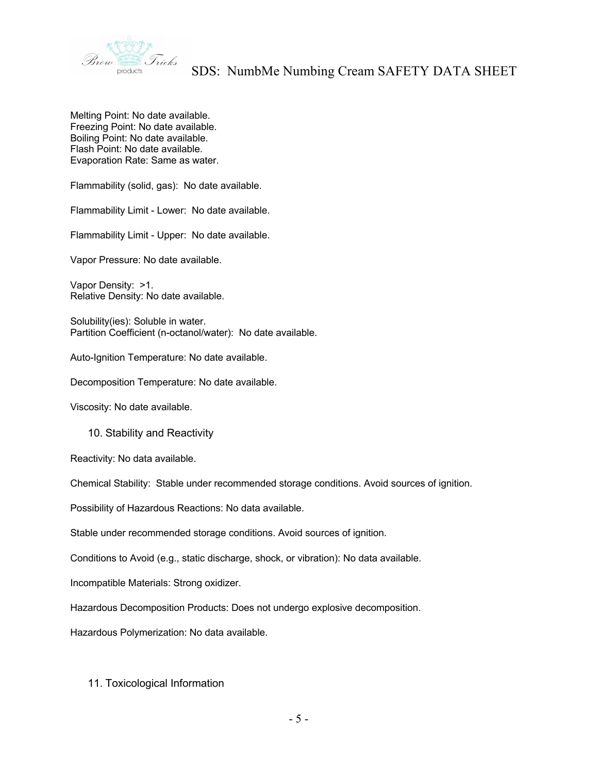

Melting Point: No date available. Freezing Point: No date available. Boiling Point: No date available. Flash Point: No date available. Evaporation Rate: Same as water.

Flammability (solid, gas): No date available.

Flammability Limit - Lower: No date available.

Flammability Limit - Upper: No date available.

Vapor Pressure: No date available.

Vapor Density: >1. Relative Density: No date available.

Solubility(ies): Soluble in water. Partition Coefficient (n-octanol/water): No date available.

Auto-Ignition Temperature: No date available.

Decomposition Temperature: No date available.

Viscosity: No date available.

10. Stability and Reactivity

Reactivity: No data available.

Chemical Stability: Stable under recommended storage conditions. Avoid sources of ignition.

Possibility of Hazardous Reactions: No data available.

Stable under recommended storage conditions. Avoid sources of ignition.

Conditions to Avoid (e.g., static discharge, shock, or vibration): No data available.

Incompatible Materials: Strong oxidizer.

Hazardous Decomposition Products: Does not undergo explosive decomposition.

Hazardous Polymerization: No data available.

### 11. Toxicological Information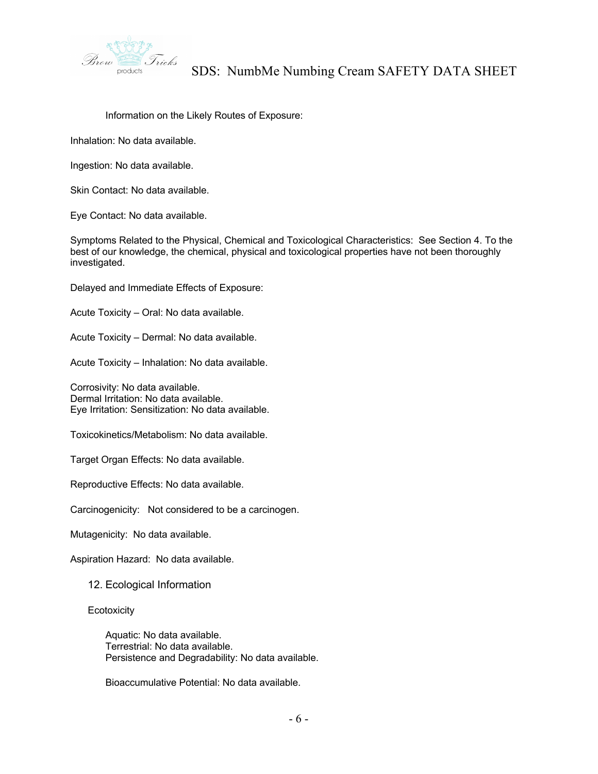

Information on the Likely Routes of Exposure:

Inhalation: No data available.

Ingestion: No data available.

Skin Contact: No data available.

Eye Contact: No data available.

Symptoms Related to the Physical, Chemical and Toxicological Characteristics: See Section 4. To the best of our knowledge, the chemical, physical and toxicological properties have not been thoroughly investigated.

Delayed and Immediate Effects of Exposure:

Acute Toxicity – Oral: No data available.

Acute Toxicity – Dermal: No data available.

Acute Toxicity – Inhalation: No data available.

Corrosivity: No data available. Dermal Irritation: No data available. Eye Irritation: Sensitization: No data available.

Toxicokinetics/Metabolism: No data available.

Target Organ Effects: No data available.

Reproductive Effects: No data available.

Carcinogenicity: Not considered to be a carcinogen.

Mutagenicity: No data available.

Aspiration Hazard: No data available.

12. Ecological Information

**Ecotoxicity** 

Aquatic: No data available. Terrestrial: No data available. Persistence and Degradability: No data available.

Bioaccumulative Potential: No data available.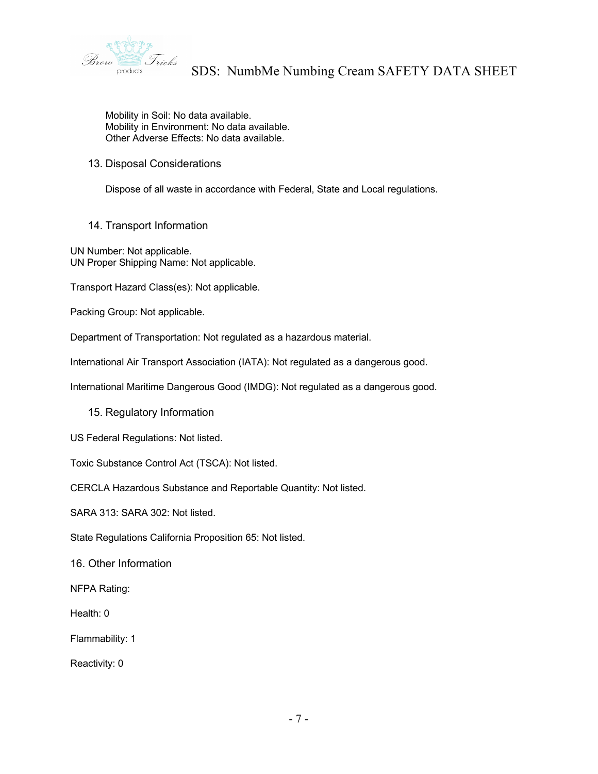

Mobility in Soil: No data available. Mobility in Environment: No data available. Other Adverse Effects: No data available.

### 13. Disposal Considerations

Dispose of all waste in accordance with Federal, State and Local regulations.

14. Transport Information

UN Number: Not applicable. UN Proper Shipping Name: Not applicable.

Transport Hazard Class(es): Not applicable.

Packing Group: Not applicable.

Department of Transportation: Not regulated as a hazardous material.

International Air Transport Association (IATA): Not regulated as a dangerous good.

International Maritime Dangerous Good (IMDG): Not regulated as a dangerous good.

15. Regulatory Information

US Federal Regulations: Not listed.

Toxic Substance Control Act (TSCA): Not listed.

CERCLA Hazardous Substance and Reportable Quantity: Not listed.

SARA 313: SARA 302: Not listed.

State Regulations California Proposition 65: Not listed.

16. Other Information

NFPA Rating:

Health: 0

Flammability: 1

Reactivity: 0